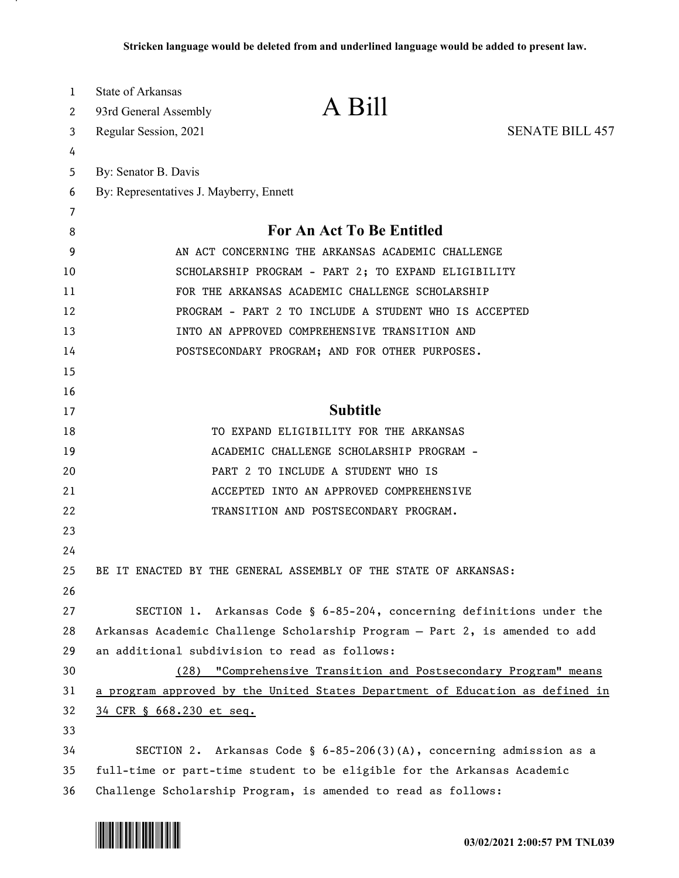| 1  | <b>State of Arkansas</b>                                                      |                                                                 |                        |
|----|-------------------------------------------------------------------------------|-----------------------------------------------------------------|------------------------|
| 2  | 93rd General Assembly                                                         | A Bill                                                          |                        |
| 3  | Regular Session, 2021                                                         |                                                                 | <b>SENATE BILL 457</b> |
| 4  |                                                                               |                                                                 |                        |
| 5  | By: Senator B. Davis                                                          |                                                                 |                        |
| 6  | By: Representatives J. Mayberry, Ennett                                       |                                                                 |                        |
| 7  |                                                                               |                                                                 |                        |
| 8  |                                                                               | For An Act To Be Entitled                                       |                        |
| 9  |                                                                               | AN ACT CONCERNING THE ARKANSAS ACADEMIC CHALLENGE               |                        |
| 10 |                                                                               | SCHOLARSHIP PROGRAM - PART 2; TO EXPAND ELIGIBILITY             |                        |
| 11 |                                                                               | FOR THE ARKANSAS ACADEMIC CHALLENGE SCHOLARSHIP                 |                        |
| 12 |                                                                               | PROGRAM - PART 2 TO INCLUDE A STUDENT WHO IS ACCEPTED           |                        |
| 13 |                                                                               | INTO AN APPROVED COMPREHENSIVE TRANSITION AND                   |                        |
| 14 |                                                                               | POSTSECONDARY PROGRAM; AND FOR OTHER PURPOSES.                  |                        |
| 15 |                                                                               |                                                                 |                        |
| 16 |                                                                               |                                                                 |                        |
| 17 |                                                                               | <b>Subtitle</b>                                                 |                        |
| 18 |                                                                               | TO EXPAND ELIGIBILITY FOR THE ARKANSAS                          |                        |
| 19 |                                                                               | ACADEMIC CHALLENGE SCHOLARSHIP PROGRAM -                        |                        |
| 20 |                                                                               | PART 2 TO INCLUDE A STUDENT WHO IS                              |                        |
| 21 |                                                                               | ACCEPTED INTO AN APPROVED COMPREHENSIVE                         |                        |
| 22 |                                                                               | TRANSITION AND POSTSECONDARY PROGRAM.                           |                        |
| 23 |                                                                               |                                                                 |                        |
| 24 |                                                                               |                                                                 |                        |
| 25 | BE IT ENACTED BY THE GENERAL ASSEMBLY OF THE STATE OF ARKANSAS:               |                                                                 |                        |
| 26 |                                                                               |                                                                 |                        |
| 27 | SECTION 1. Arkansas Code § 6-85-204, concerning definitions under the         |                                                                 |                        |
| 28 | Arkansas Academic Challenge Scholarship Program - Part 2, is amended to add   |                                                                 |                        |
| 29 | an additional subdivision to read as follows:                                 |                                                                 |                        |
| 30 |                                                                               | (28) "Comprehensive Transition and Postsecondary Program" means |                        |
| 31 | a program approved by the United States Department of Education as defined in |                                                                 |                        |
| 32 | 34 CFR § 668.230 et seq.                                                      |                                                                 |                        |
| 33 |                                                                               |                                                                 |                        |
| 34 | SECTION 2. Arkansas Code § $6-85-206(3)(A)$ , concerning admission as a       |                                                                 |                        |
| 35 | full-time or part-time student to be eligible for the Arkansas Academic       |                                                                 |                        |
| 36 | Challenge Scholarship Program, is amended to read as follows:                 |                                                                 |                        |

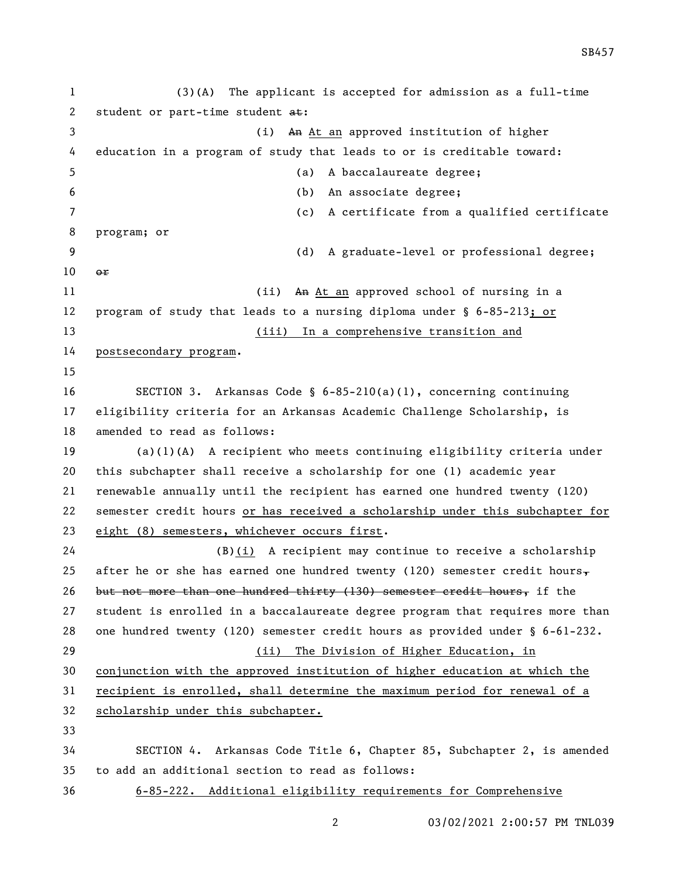(3)(A) The applicant is accepted for admission as a full-time 2 student or part-time student at: 3 (i) An At an approved institution of higher education in a program of study that leads to or is creditable toward: (a) A baccalaureate degree; (b) An associate degree; (c) A certificate from a qualified certificate program; or (d) A graduate-level or professional degree; or 11 (ii) An At an approved school of nursing in a program of study that leads to a nursing diploma under § 6-85-213; or (iii) In a comprehensive transition and postsecondary program. SECTION 3. Arkansas Code § 6-85-210(a)(1), concerning continuing eligibility criteria for an Arkansas Academic Challenge Scholarship, is amended to read as follows: (a)(1)(A) A recipient who meets continuing eligibility criteria under this subchapter shall receive a scholarship for one (1) academic year renewable annually until the recipient has earned one hundred twenty (120) semester credit hours or has received a scholarship under this subchapter for 23 eight (8) semesters, whichever occurs first. 24 (B) $(i)$  A recipient may continue to receive a scholarship 25 after he or she has earned one hundred twenty (120) semester credit hours, 26 but not more than one hundred thirty (130) semester credit hours, if the student is enrolled in a baccalaureate degree program that requires more than one hundred twenty (120) semester credit hours as provided under § 6-61-232. (ii) The Division of Higher Education, in conjunction with the approved institution of higher education at which the recipient is enrolled, shall determine the maximum period for renewal of a scholarship under this subchapter. SECTION 4. Arkansas Code Title 6, Chapter 85, Subchapter 2, is amended to add an additional section to read as follows: 6-85-222. Additional eligibility requirements for Comprehensive

SB457

03/02/2021 2:00:57 PM TNL039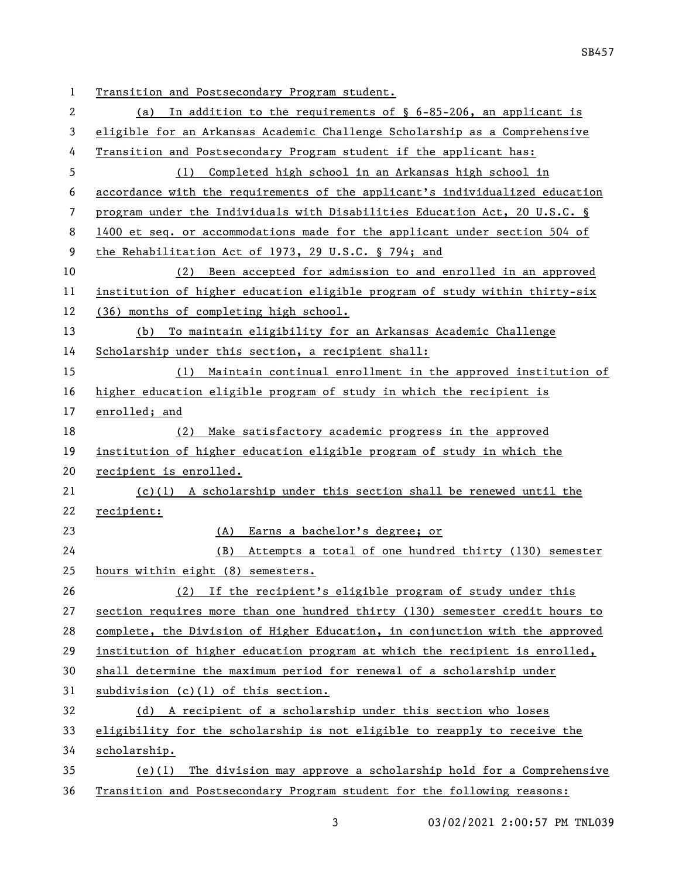| 1  | Transition and Postsecondary Program student.                                |  |
|----|------------------------------------------------------------------------------|--|
| 2  | In addition to the requirements of $\S$ 6-85-206, an applicant is<br>(a)     |  |
| 3  | eligible for an Arkansas Academic Challenge Scholarship as a Comprehensive   |  |
| 4  | Transition and Postsecondary Program student if the applicant has:           |  |
| 5  | Completed high school in an Arkansas high school in<br>(1)                   |  |
| 6  | accordance with the requirements of the applicant's individualized education |  |
| 7  | program under the Individuals with Disabilities Education Act, 20 U.S.C. §   |  |
| 8  | 1400 et seq. or accommodations made for the applicant under section 504 of   |  |
| 9  | the Rehabilitation Act of 1973, 29 U.S.C. § 794; and                         |  |
| 10 | (2) Been accepted for admission to and enrolled in an approved               |  |
| 11 | institution of higher education eligible program of study within thirty-six  |  |
| 12 | (36) months of completing high school.                                       |  |
| 13 | (b) To maintain eligibility for an Arkansas Academic Challenge               |  |
| 14 | Scholarship under this section, a recipient shall:                           |  |
| 15 | (1) Maintain continual enrollment in the approved institution of             |  |
| 16 | higher education eligible program of study in which the recipient is         |  |
| 17 | enrolled; and                                                                |  |
| 18 | Make satisfactory academic progress in the approved<br>(2)                   |  |
| 19 | institution of higher education eligible program of study in which the       |  |
| 20 | recipient is enrolled.                                                       |  |
| 21 | $(c)(1)$ A scholarship under this section shall be renewed until the         |  |
| 22 | recipient:                                                                   |  |
| 23 | Earns a bachelor's degree; or<br>(A)                                         |  |
| 24 | (B)<br>Attempts a total of one hundred thirty (130) semester                 |  |
| 25 | hours within eight (8) semesters.                                            |  |
| 26 | If the recipient's eligible program of study under this<br>(2)               |  |
| 27 | section requires more than one hundred thirty (130) semester credit hours to |  |
| 28 | complete, the Division of Higher Education, in conjunction with the approved |  |
| 29 | institution of higher education program at which the recipient is enrolled,  |  |
| 30 | shall determine the maximum period for renewal of a scholarship under        |  |
| 31 | subdivision $(c)(1)$ of this section.                                        |  |
| 32 | (d) A recipient of a scholarship under this section who loses                |  |
| 33 | eligibility for the scholarship is not eligible to reapply to receive the    |  |
| 34 | scholarship.                                                                 |  |
| 35 | The division may approve a scholarship hold for a Comprehensive<br>$(e)$ (1) |  |
| 36 | Transition and Postsecondary Program student for the following reasons:      |  |

3 03/02/2021 2:00:57 PM TNL039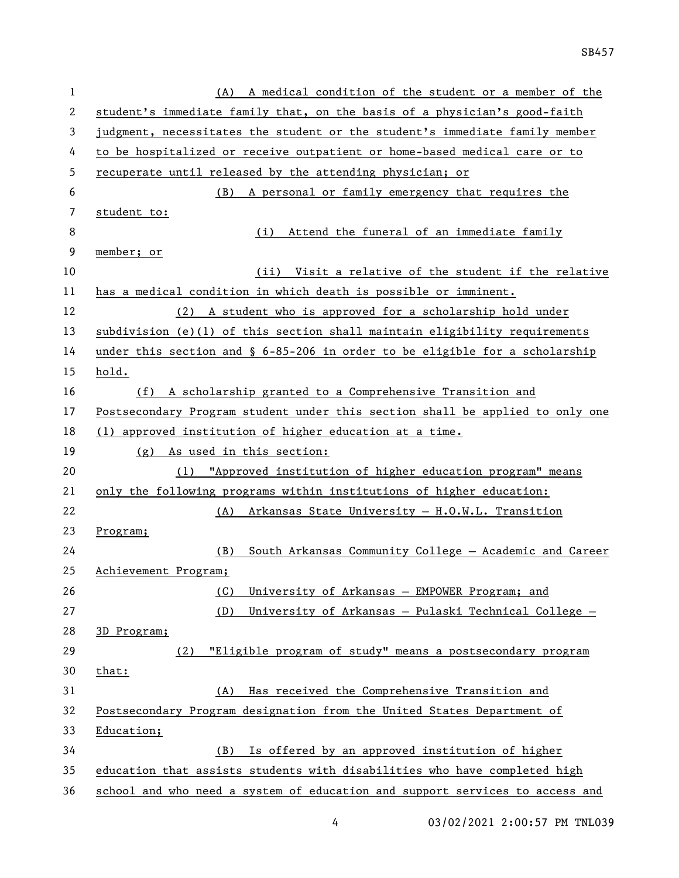| 1  | (A) A medical condition of the student or a member of the                      |  |  |
|----|--------------------------------------------------------------------------------|--|--|
| 2  | student's immediate family that, on the basis of a physician's good-faith      |  |  |
| 3  | judgment, necessitates the student or the student's immediate family member    |  |  |
| 4  | to be hospitalized or receive outpatient or home-based medical care or to      |  |  |
| 5  | recuperate until released by the attending physician; or                       |  |  |
| 6  | A personal or family emergency that requires the<br>(B)                        |  |  |
| 7  | student to:                                                                    |  |  |
| 8  | Attend the funeral of an immediate family<br>(i)                               |  |  |
| 9  | member; or                                                                     |  |  |
| 10 | Visit a relative of the student if the relative<br>(ii)                        |  |  |
| 11 | has a medical condition in which death is possible or imminent.                |  |  |
| 12 | (2) A student who is approved for a scholarship hold under                     |  |  |
| 13 | subdivision (e)(1) of this section shall maintain eligibility requirements     |  |  |
| 14 | under this section and $\S$ 6-85-206 in order to be eligible for a scholarship |  |  |
| 15 | hold.                                                                          |  |  |
| 16 | (f) A scholarship granted to a Comprehensive Transition and                    |  |  |
| 17 | Postsecondary Program student under this section shall be applied to only one  |  |  |
| 18 | (1) approved institution of higher education at a time.                        |  |  |
| 19 | (g) As used in this section:                                                   |  |  |
| 20 | (1) "Approved institution of higher education program" means                   |  |  |
| 21 | only the following programs within institutions of higher education:           |  |  |
| 22 | (A) Arkansas State University - H.O.W.L. Transition                            |  |  |
| 23 | Program;                                                                       |  |  |
| 24 | South Arkansas Community College - Academic and Career<br>(B)                  |  |  |
| 25 | Achievement Program;                                                           |  |  |
| 26 | (C)<br>University of Arkansas - EMPOWER Program; and                           |  |  |
| 27 | (D)<br>University of Arkansas - Pulaski Technical College -                    |  |  |
| 28 | 3D Program;                                                                    |  |  |
| 29 | "Eligible program of study" means a postsecondary program<br>(2)               |  |  |
| 30 | that:                                                                          |  |  |
| 31 | Has received the Comprehensive Transition and<br>(A)                           |  |  |
| 32 | Postsecondary Program designation from the United States Department of         |  |  |
| 33 | Education;                                                                     |  |  |
| 34 | Is offered by an approved institution of higher<br>(B)                         |  |  |
| 35 | education that assists students with disabilities who have completed high      |  |  |
| 36 | school and who need a system of education and support services to access and   |  |  |

4 03/02/2021 2:00:57 PM TNL039